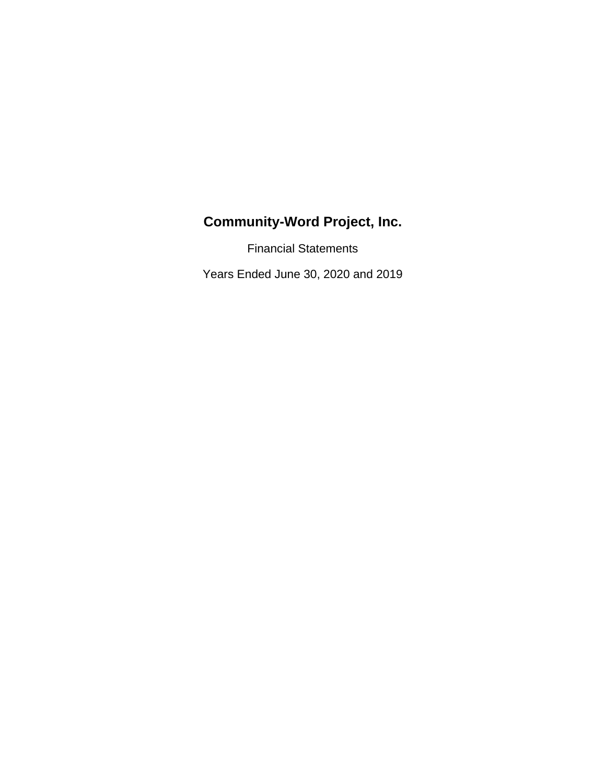Financial Statements

Years Ended June 30, 2020 and 2019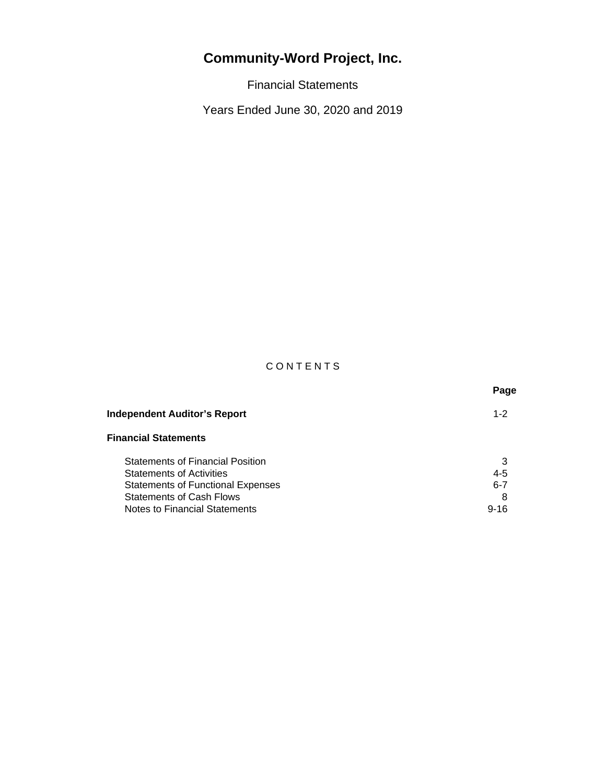Financial Statements

Years Ended June 30, 2020 and 2019

# CONTENTS

| Page     |
|----------|
| $1 - 2$  |
|          |
| 3        |
| $4 - 5$  |
| $6 - 7$  |
| 8        |
| $9 - 16$ |
|          |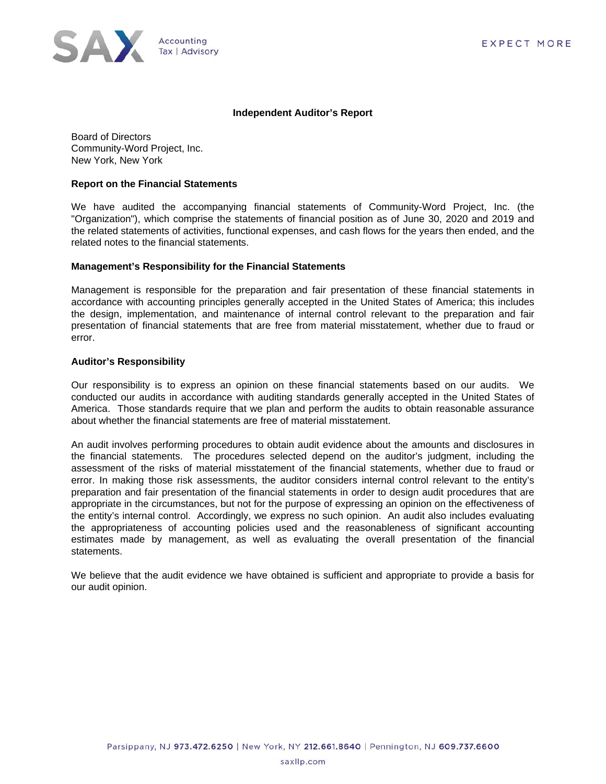

#### **Independent Auditor's Report**

Board of Directors Community-Word Project, Inc. New York, New York

#### **Report on the Financial Statements**

We have audited the accompanying financial statements of Community-Word Project, Inc. (the "Organization"), which comprise the statements of financial position as of June 30, 2020 and 2019 and the related statements of activities, functional expenses, and cash flows for the years then ended, and the related notes to the financial statements.

#### **Management's Responsibility for the Financial Statements**

Management is responsible for the preparation and fair presentation of these financial statements in accordance with accounting principles generally accepted in the United States of America; this includes the design, implementation, and maintenance of internal control relevant to the preparation and fair presentation of financial statements that are free from material misstatement, whether due to fraud or error.

#### **Auditor's Responsibility**

Our responsibility is to express an opinion on these financial statements based on our audits. We conducted our audits in accordance with auditing standards generally accepted in the United States of America. Those standards require that we plan and perform the audits to obtain reasonable assurance about whether the financial statements are free of material misstatement.

An audit involves performing procedures to obtain audit evidence about the amounts and disclosures in the financial statements. The procedures selected depend on the auditor's judgment, including the assessment of the risks of material misstatement of the financial statements, whether due to fraud or error. In making those risk assessments, the auditor considers internal control relevant to the entity's preparation and fair presentation of the financial statements in order to design audit procedures that are appropriate in the circumstances, but not for the purpose of expressing an opinion on the effectiveness of the entity's internal control. Accordingly, we express no such opinion. An audit also includes evaluating the appropriateness of accounting policies used and the reasonableness of significant accounting estimates made by management, as well as evaluating the overall presentation of the financial statements.

We believe that the audit evidence we have obtained is sufficient and appropriate to provide a basis for our audit opinion.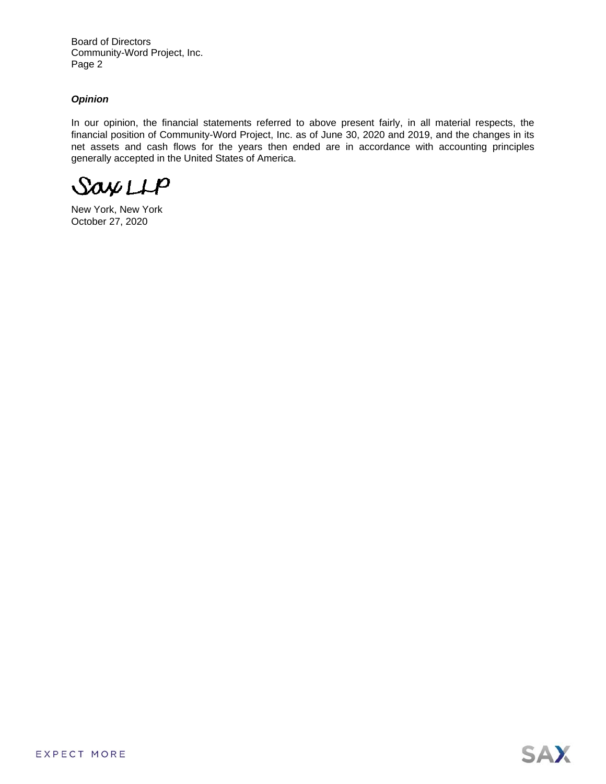Board of Directors Community-Word Project, Inc. Page 2

# *Opinion*

In our opinion, the financial statements referred to above present fairly, in all material respects, the financial position of Community-Word Project, Inc. as of June 30, 2020 and 2019, and the changes in its net assets and cash flows for the years then ended are in accordance with accounting principles generally accepted in the United States of America.

SaveLLP

New York, New York October 27, 2020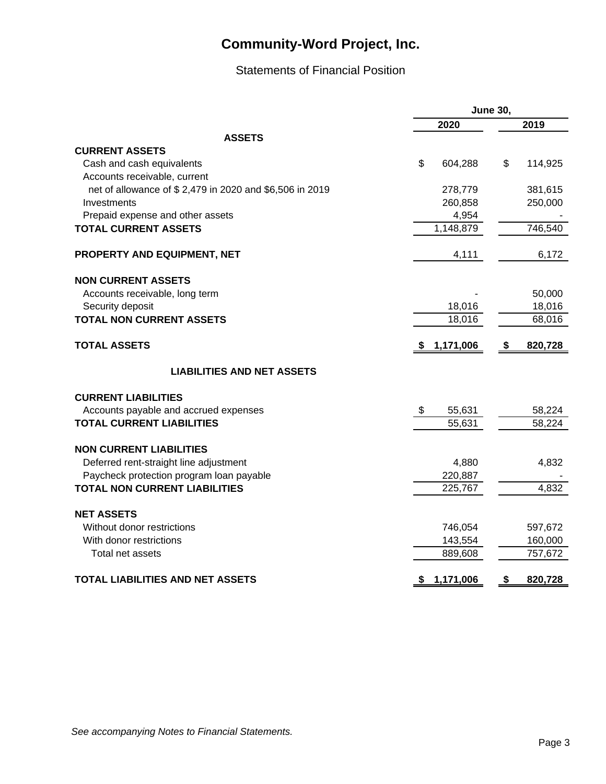Statements of Financial Position

|                                                         | <b>June 30,</b> |               |  |  |  |
|---------------------------------------------------------|-----------------|---------------|--|--|--|
|                                                         | 2020            | 2019          |  |  |  |
| <b>ASSETS</b>                                           |                 |               |  |  |  |
| <b>CURRENT ASSETS</b>                                   |                 |               |  |  |  |
| Cash and cash equivalents                               | \$<br>604,288   | \$<br>114,925 |  |  |  |
| Accounts receivable, current                            |                 |               |  |  |  |
| net of allowance of \$2,479 in 2020 and \$6,506 in 2019 | 278,779         | 381,615       |  |  |  |
| Investments                                             | 260,858         | 250,000       |  |  |  |
| Prepaid expense and other assets                        | 4,954           |               |  |  |  |
| <b>TOTAL CURRENT ASSETS</b>                             | 1,148,879       | 746,540       |  |  |  |
| PROPERTY AND EQUIPMENT, NET                             | 4,111           | 6,172         |  |  |  |
| <b>NON CURRENT ASSETS</b>                               |                 |               |  |  |  |
| Accounts receivable, long term                          |                 | 50,000        |  |  |  |
| Security deposit                                        | 18,016          | 18,016        |  |  |  |
| <b>TOTAL NON CURRENT ASSETS</b>                         | 18,016          | 68,016        |  |  |  |
| <b>TOTAL ASSETS</b>                                     | 1,171,006       | 820,728       |  |  |  |
| <b>LIABILITIES AND NET ASSETS</b>                       |                 |               |  |  |  |
| <b>CURRENT LIABILITIES</b>                              |                 |               |  |  |  |
| Accounts payable and accrued expenses                   | 55,631<br>\$    | 58,224        |  |  |  |
| <b>TOTAL CURRENT LIABILITIES</b>                        | 55,631          | 58,224        |  |  |  |
| <b>NON CURRENT LIABILITIES</b>                          |                 |               |  |  |  |
| Deferred rent-straight line adjustment                  | 4,880           | 4,832         |  |  |  |
| Paycheck protection program loan payable                | 220,887         |               |  |  |  |
| <b>TOTAL NON CURRENT LIABILITIES</b>                    | 225,767         | 4,832         |  |  |  |
| <b>NET ASSETS</b>                                       |                 |               |  |  |  |
| Without donor restrictions                              | 746,054         | 597,672       |  |  |  |
| With donor restrictions                                 | 143,554         | 160,000       |  |  |  |
| Total net assets                                        | 889,608         | 757,672       |  |  |  |
| <b>TOTAL LIABILITIES AND NET ASSETS</b>                 | 1,171,006<br>\$ | 820,728<br>\$ |  |  |  |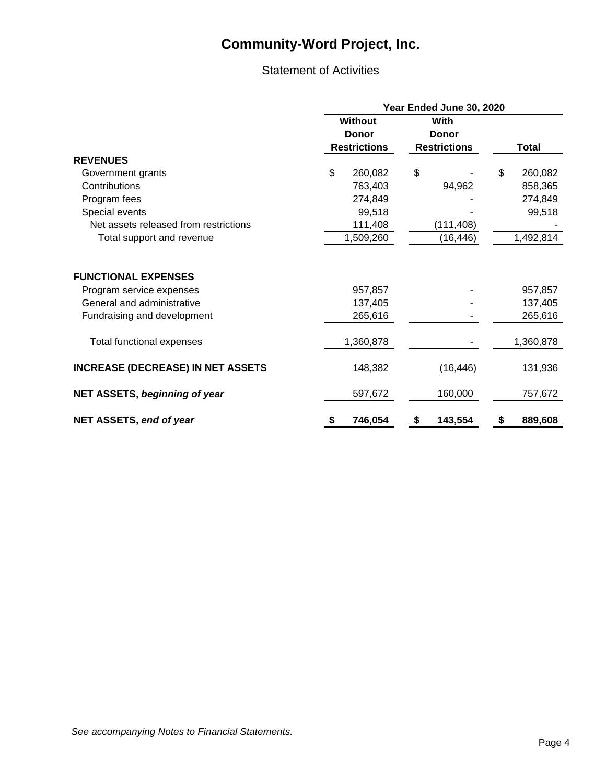Statement of Activities

|                                          |                     | Year Ended June 30, 2020 |               |  |  |  |
|------------------------------------------|---------------------|--------------------------|---------------|--|--|--|
|                                          | <b>Without</b>      | With                     |               |  |  |  |
|                                          | <b>Donor</b>        | <b>Donor</b>             |               |  |  |  |
|                                          | <b>Restrictions</b> | <b>Restrictions</b>      | <b>Total</b>  |  |  |  |
| <b>REVENUES</b>                          |                     |                          |               |  |  |  |
| Government grants                        | \$<br>260,082       | \$                       | \$<br>260,082 |  |  |  |
| Contributions                            | 763,403             | 94,962                   | 858,365       |  |  |  |
| Program fees                             | 274,849             |                          | 274,849       |  |  |  |
| Special events                           | 99,518              |                          | 99,518        |  |  |  |
| Net assets released from restrictions    | 111,408             | (111, 408)               |               |  |  |  |
| Total support and revenue                | 1,509,260           | (16, 446)                | 1,492,814     |  |  |  |
| <b>FUNCTIONAL EXPENSES</b>               |                     |                          |               |  |  |  |
| Program service expenses                 | 957,857             |                          | 957,857       |  |  |  |
| General and administrative               | 137,405             |                          | 137,405       |  |  |  |
| Fundraising and development              | 265,616             |                          | 265,616       |  |  |  |
| Total functional expenses                | 1,360,878           |                          | 1,360,878     |  |  |  |
| <b>INCREASE (DECREASE) IN NET ASSETS</b> | 148,382             | (16, 446)                | 131,936       |  |  |  |
| NET ASSETS, beginning of year            | 597,672             | 160,000                  | 757,672       |  |  |  |
| NET ASSETS, end of year                  | 746,054<br>\$       | \$<br>143,554            | 889,608<br>\$ |  |  |  |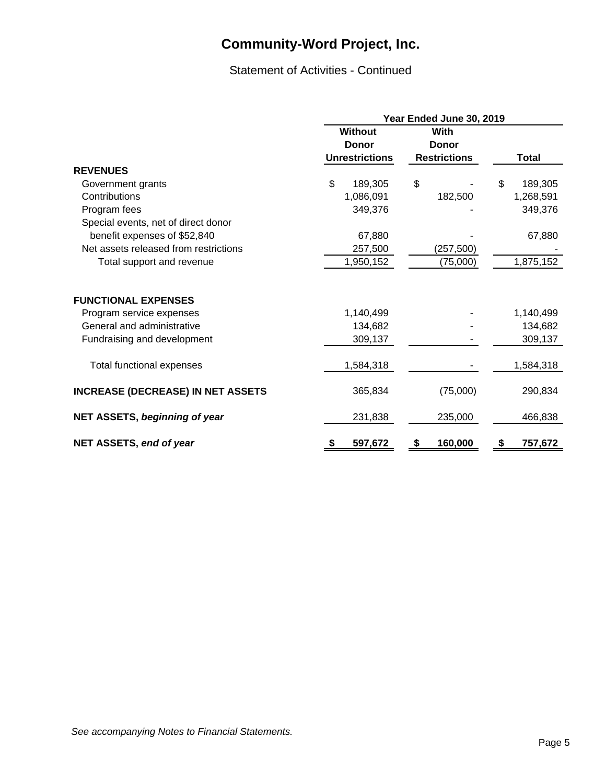Statement of Activities - Continued

|                                          | Year Ended June 30, 2019 |                     |               |  |  |  |
|------------------------------------------|--------------------------|---------------------|---------------|--|--|--|
|                                          | Without                  | With                |               |  |  |  |
|                                          | <b>Donor</b>             | <b>Donor</b>        |               |  |  |  |
|                                          | <b>Unrestrictions</b>    | <b>Restrictions</b> | <b>Total</b>  |  |  |  |
| <b>REVENUES</b>                          |                          |                     |               |  |  |  |
| Government grants                        | \$<br>189,305            | \$                  | \$<br>189,305 |  |  |  |
| Contributions                            | 1,086,091                | 182,500             | 1,268,591     |  |  |  |
| Program fees                             | 349,376                  |                     | 349,376       |  |  |  |
| Special events, net of direct donor      |                          |                     |               |  |  |  |
| benefit expenses of \$52,840             | 67,880                   |                     | 67,880        |  |  |  |
| Net assets released from restrictions    | 257,500                  | (257, 500)          |               |  |  |  |
| Total support and revenue                | 1,950,152                | (75,000)            | 1,875,152     |  |  |  |
| <b>FUNCTIONAL EXPENSES</b>               |                          |                     |               |  |  |  |
| Program service expenses                 | 1,140,499                |                     | 1,140,499     |  |  |  |
| General and administrative               | 134,682                  |                     | 134,682       |  |  |  |
| Fundraising and development              | 309,137                  |                     | 309,137       |  |  |  |
| Total functional expenses                | 1,584,318                |                     | 1,584,318     |  |  |  |
| <b>INCREASE (DECREASE) IN NET ASSETS</b> | 365,834                  | (75,000)            | 290,834       |  |  |  |
| NET ASSETS, beginning of year            | 231,838                  | 235,000             | 466,838       |  |  |  |
| NET ASSETS, end of year                  | 597,672<br>\$            | 160,000<br>\$       | 757,672<br>æ. |  |  |  |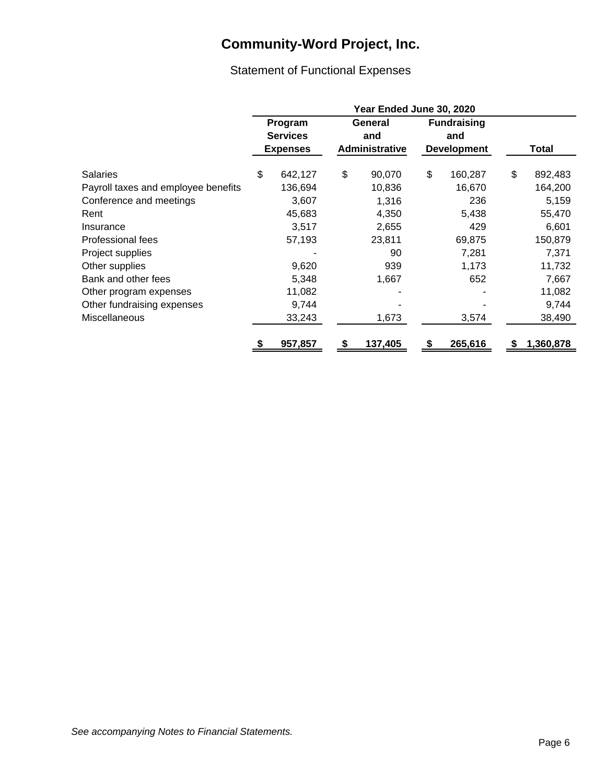Statement of Functional Expenses

|                                     | Year Ended June 30, 2020   |                 |                |                       |                           |                    |    |           |
|-------------------------------------|----------------------------|-----------------|----------------|-----------------------|---------------------------|--------------------|----|-----------|
|                                     | Program<br><b>Services</b> |                 | General<br>and |                       | <b>Fundraising</b><br>and |                    |    |           |
|                                     |                            | <b>Expenses</b> |                | <b>Administrative</b> |                           | <b>Development</b> |    | Total     |
| <b>Salaries</b>                     | \$                         | 642,127         | \$             | 90,070                | \$                        | 160,287            | \$ | 892,483   |
| Payroll taxes and employee benefits |                            | 136,694         |                | 10,836                |                           | 16,670             |    | 164,200   |
| Conference and meetings             |                            | 3,607           |                | 1,316                 |                           | 236                |    | 5,159     |
| Rent                                |                            | 45,683          |                | 4,350                 |                           | 5,438              |    | 55,470    |
| Insurance                           |                            | 3,517           |                | 2,655                 |                           | 429                |    | 6,601     |
| Professional fees                   |                            | 57,193          |                | 23,811                |                           | 69,875             |    | 150,879   |
| Project supplies                    |                            |                 |                | 90                    |                           | 7,281              |    | 7,371     |
| Other supplies                      |                            | 9,620           |                | 939                   |                           | 1,173              |    | 11,732    |
| Bank and other fees                 |                            | 5,348           |                | 1,667                 |                           | 652                |    | 7,667     |
| Other program expenses              |                            | 11,082          |                |                       |                           |                    |    | 11,082    |
| Other fundraising expenses          |                            | 9,744           |                |                       |                           |                    |    | 9,744     |
| <b>Miscellaneous</b>                |                            | 33,243          |                | 1,673                 |                           | 3,574              |    | 38,490    |
|                                     |                            | 957,857         |                | 137,405               |                           | 265,616            |    | 1,360,878 |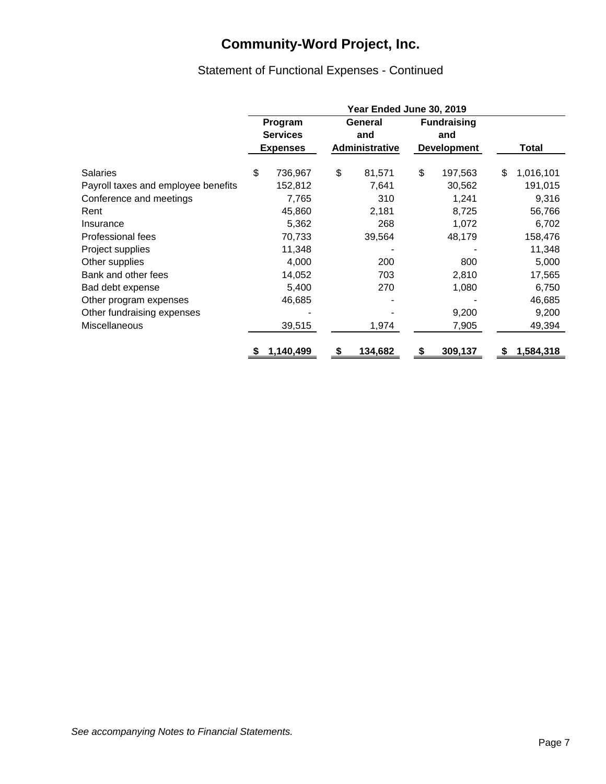# Statement of Functional Expenses - Continued

|                                     | Year Ended June 30, 2019                      |           |    |         |    |         |   |                                  |  |                                                 |  |       |
|-------------------------------------|-----------------------------------------------|-----------|----|---------|----|---------|---|----------------------------------|--|-------------------------------------------------|--|-------|
|                                     | Program<br><b>Services</b><br><b>Expenses</b> |           |    |         |    |         |   | General<br>and<br>Administrative |  | <b>Fundraising</b><br>and<br><b>Development</b> |  | Total |
| <b>Salaries</b>                     | \$                                            | 736,967   | \$ | 81,571  | \$ | 197,563 | S | 1,016,101                        |  |                                                 |  |       |
| Payroll taxes and employee benefits |                                               | 152,812   |    | 7,641   |    | 30,562  |   | 191,015                          |  |                                                 |  |       |
| Conference and meetings             |                                               | 7,765     |    | 310     |    | 1,241   |   | 9,316                            |  |                                                 |  |       |
| Rent                                |                                               | 45,860    |    | 2,181   |    | 8,725   |   | 56,766                           |  |                                                 |  |       |
| Insurance                           |                                               | 5,362     |    | 268     |    | 1,072   |   | 6,702                            |  |                                                 |  |       |
| Professional fees                   |                                               | 70,733    |    | 39,564  |    | 48,179  |   | 158,476                          |  |                                                 |  |       |
| Project supplies                    |                                               | 11,348    |    |         |    |         |   | 11,348                           |  |                                                 |  |       |
| Other supplies                      |                                               | 4,000     |    | 200     |    | 800     |   | 5,000                            |  |                                                 |  |       |
| Bank and other fees                 |                                               | 14,052    |    | 703     |    | 2,810   |   | 17,565                           |  |                                                 |  |       |
| Bad debt expense                    |                                               | 5,400     |    | 270     |    | 1,080   |   | 6,750                            |  |                                                 |  |       |
| Other program expenses              |                                               | 46,685    |    |         |    |         |   | 46,685                           |  |                                                 |  |       |
| Other fundraising expenses          |                                               |           |    |         |    | 9,200   |   | 9,200                            |  |                                                 |  |       |
| Miscellaneous                       |                                               | 39,515    |    | 1,974   |    | 7,905   |   | 49,394                           |  |                                                 |  |       |
|                                     | S.                                            | 1,140,499 | S  | 134,682 | \$ | 309,137 | S | 1,584,318                        |  |                                                 |  |       |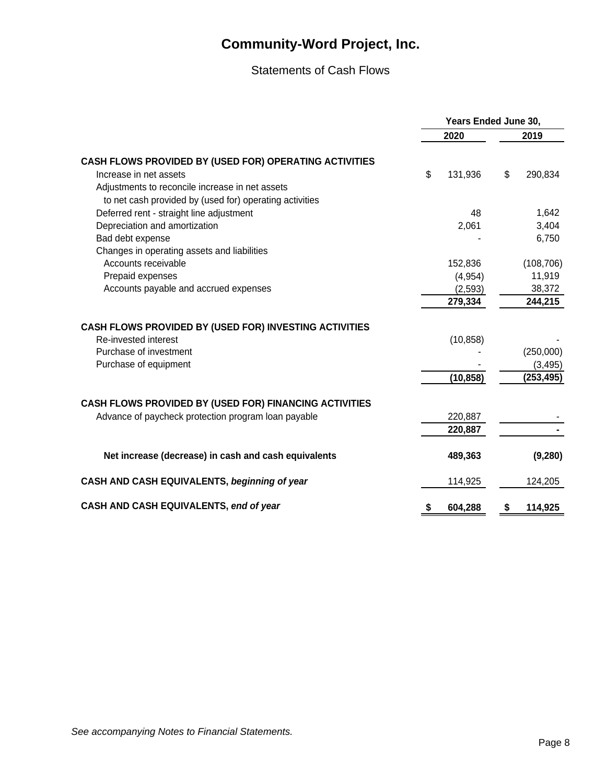Statements of Cash Flows

|                                                               | Years Ended June 30, |           |    |            |
|---------------------------------------------------------------|----------------------|-----------|----|------------|
|                                                               |                      | 2020      |    | 2019       |
| CASH FLOWS PROVIDED BY (USED FOR) OPERATING ACTIVITIES        |                      |           |    |            |
| Increase in net assets                                        | \$                   | 131,936   | \$ | 290,834    |
| Adjustments to reconcile increase in net assets               |                      |           |    |            |
| to net cash provided by (used for) operating activities       |                      |           |    |            |
| Deferred rent - straight line adjustment                      |                      | 48        |    | 1,642      |
| Depreciation and amortization                                 |                      | 2,061     |    | 3,404      |
| Bad debt expense                                              |                      |           |    | 6,750      |
| Changes in operating assets and liabilities                   |                      |           |    |            |
| Accounts receivable                                           |                      | 152,836   |    | (108, 706) |
| Prepaid expenses                                              |                      | (4, 954)  |    | 11,919     |
| Accounts payable and accrued expenses                         |                      | (2, 593)  |    | 38,372     |
|                                                               |                      | 279,334   |    | 244,215    |
| CASH FLOWS PROVIDED BY (USED FOR) INVESTING ACTIVITIES        |                      |           |    |            |
| Re-invested interest                                          |                      | (10, 858) |    |            |
| Purchase of investment                                        |                      |           |    | (250,000)  |
| Purchase of equipment                                         |                      |           |    | (3, 495)   |
|                                                               |                      | (10, 858) |    | (253, 495) |
| <b>CASH FLOWS PROVIDED BY (USED FOR) FINANCING ACTIVITIES</b> |                      |           |    |            |
| Advance of paycheck protection program loan payable           |                      | 220,887   |    |            |
|                                                               |                      | 220,887   |    |            |
| Net increase (decrease) in cash and cash equivalents          |                      | 489,363   |    | (9, 280)   |
| CASH AND CASH EQUIVALENTS, beginning of year                  |                      | 114,925   |    | 124,205    |
| CASH AND CASH EQUIVALENTS, end of year                        | S                    | 604,288   | \$ | 114,925    |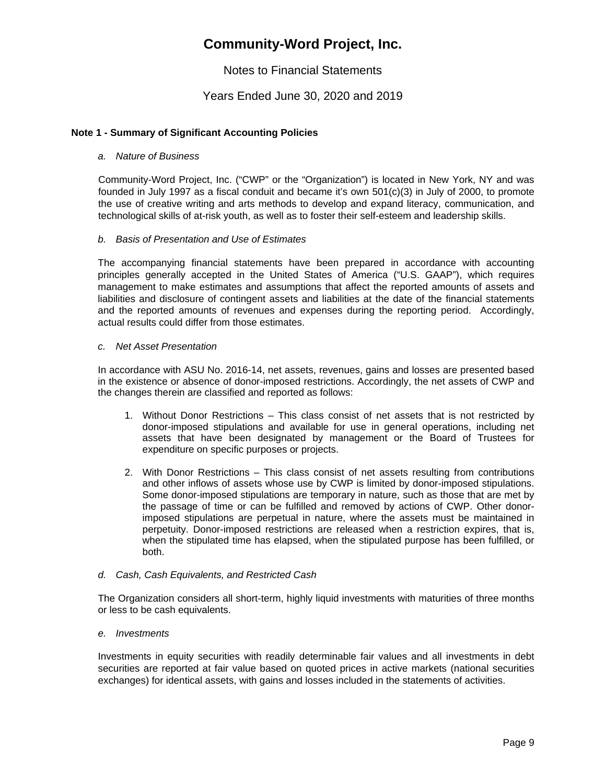Notes to Financial Statements

Years Ended June 30, 2020 and 2019

# **Note 1 - Summary of Significant Accounting Policies**

## *a. Nature of Business*

Community-Word Project, Inc. ("CWP" or the "Organization") is located in New York, NY and was founded in July 1997 as a fiscal conduit and became it's own 501(c)(3) in July of 2000, to promote the use of creative writing and arts methods to develop and expand literacy, communication, and technological skills of at-risk youth, as well as to foster their self-esteem and leadership skills.

# *b. Basis of Presentation and Use of Estimates*

The accompanying financial statements have been prepared in accordance with accounting principles generally accepted in the United States of America ("U.S. GAAP"), which requires management to make estimates and assumptions that affect the reported amounts of assets and liabilities and disclosure of contingent assets and liabilities at the date of the financial statements and the reported amounts of revenues and expenses during the reporting period. Accordingly, actual results could differ from those estimates.

### *c. Net Asset Presentation*

In accordance with ASU No. 2016-14, net assets, revenues, gains and losses are presented based in the existence or absence of donor-imposed restrictions. Accordingly, the net assets of CWP and the changes therein are classified and reported as follows:

- 1. Without Donor Restrictions This class consist of net assets that is not restricted by donor-imposed stipulations and available for use in general operations, including net assets that have been designated by management or the Board of Trustees for expenditure on specific purposes or projects.
- 2. With Donor Restrictions This class consist of net assets resulting from contributions and other inflows of assets whose use by CWP is limited by donor-imposed stipulations. Some donor-imposed stipulations are temporary in nature, such as those that are met by the passage of time or can be fulfilled and removed by actions of CWP. Other donorimposed stipulations are perpetual in nature, where the assets must be maintained in perpetuity. Donor-imposed restrictions are released when a restriction expires, that is, when the stipulated time has elapsed, when the stipulated purpose has been fulfilled, or both.

### *d. Cash, Cash Equivalents, and Restricted Cash*

The Organization considers all short-term, highly liquid investments with maturities of three months or less to be cash equivalents.

### *e. Investments*

Investments in equity securities with readily determinable fair values and all investments in debt securities are reported at fair value based on quoted prices in active markets (national securities exchanges) for identical assets, with gains and losses included in the statements of activities.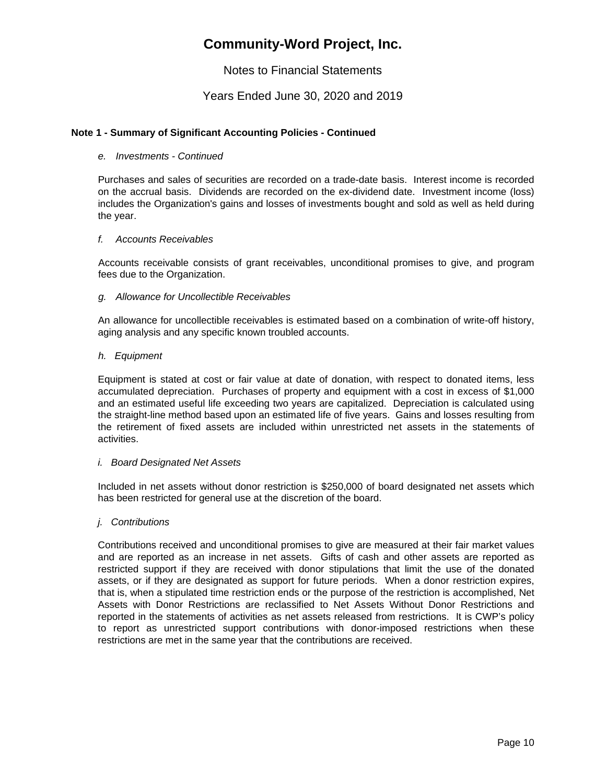Notes to Financial Statements

Years Ended June 30, 2020 and 2019

# **Note 1 - Summary of Significant Accounting Policies - Continued**

## *e. Investments - Continued*

Purchases and sales of securities are recorded on a trade-date basis. Interest income is recorded on the accrual basis. Dividends are recorded on the ex-dividend date. Investment income (loss) includes the Organization's gains and losses of investments bought and sold as well as held during the year.

# *f. Accounts Receivables*

Accounts receivable consists of grant receivables, unconditional promises to give, and program fees due to the Organization.

# *g. Allowance for Uncollectible Receivables*

An allowance for uncollectible receivables is estimated based on a combination of write-off history, aging analysis and any specific known troubled accounts.

# *h. Equipment*

Equipment is stated at cost or fair value at date of donation, with respect to donated items, less accumulated depreciation. Purchases of property and equipment with a cost in excess of \$1,000 and an estimated useful life exceeding two years are capitalized. Depreciation is calculated using the straight-line method based upon an estimated life of five years. Gains and losses resulting from the retirement of fixed assets are included within unrestricted net assets in the statements of activities.

### *i. Board Designated Net Assets*

Included in net assets without donor restriction is \$250,000 of board designated net assets which has been restricted for general use at the discretion of the board.

### *j. Contributions*

Contributions received and unconditional promises to give are measured at their fair market values and are reported as an increase in net assets. Gifts of cash and other assets are reported as restricted support if they are received with donor stipulations that limit the use of the donated assets, or if they are designated as support for future periods. When a donor restriction expires, that is, when a stipulated time restriction ends or the purpose of the restriction is accomplished, Net Assets with Donor Restrictions are reclassified to Net Assets Without Donor Restrictions and reported in the statements of activities as net assets released from restrictions. It is CWP's policy to report as unrestricted support contributions with donor-imposed restrictions when these restrictions are met in the same year that the contributions are received.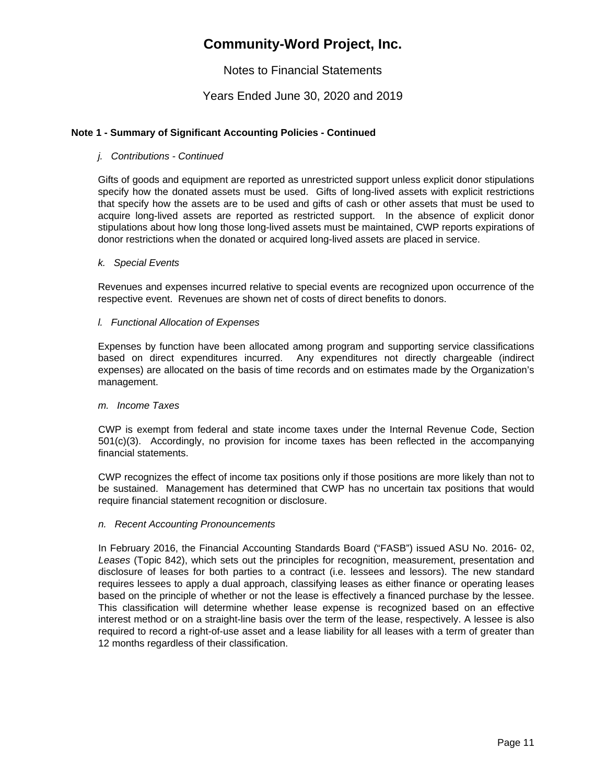Notes to Financial Statements

Years Ended June 30, 2020 and 2019

# **Note 1 - Summary of Significant Accounting Policies - Continued**

# *j. Contributions - Continued*

Gifts of goods and equipment are reported as unrestricted support unless explicit donor stipulations specify how the donated assets must be used. Gifts of long-lived assets with explicit restrictions that specify how the assets are to be used and gifts of cash or other assets that must be used to acquire long-lived assets are reported as restricted support. In the absence of explicit donor stipulations about how long those long-lived assets must be maintained, CWP reports expirations of donor restrictions when the donated or acquired long-lived assets are placed in service.

# *k. Special Events*

Revenues and expenses incurred relative to special events are recognized upon occurrence of the respective event. Revenues are shown net of costs of direct benefits to donors.

# *l. Functional Allocation of Expenses*

Expenses by function have been allocated among program and supporting service classifications based on direct expenditures incurred. Any expenditures not directly chargeable (indirect expenses) are allocated on the basis of time records and on estimates made by the Organization's management.

# *m. Income Taxes*

CWP is exempt from federal and state income taxes under the Internal Revenue Code, Section 501(c)(3). Accordingly, no provision for income taxes has been reflected in the accompanying financial statements.

CWP recognizes the effect of income tax positions only if those positions are more likely than not to be sustained. Management has determined that CWP has no uncertain tax positions that would require financial statement recognition or disclosure.

### *n. Recent Accounting Pronouncements*

In February 2016, the Financial Accounting Standards Board ("FASB") issued ASU No. 2016- 02, *Leases* (Topic 842), which sets out the principles for recognition, measurement, presentation and disclosure of leases for both parties to a contract (i.e. lessees and lessors). The new standard requires lessees to apply a dual approach, classifying leases as either finance or operating leases based on the principle of whether or not the lease is effectively a financed purchase by the lessee. This classification will determine whether lease expense is recognized based on an effective interest method or on a straight-line basis over the term of the lease, respectively. A lessee is also required to record a right-of-use asset and a lease liability for all leases with a term of greater than 12 months regardless of their classification.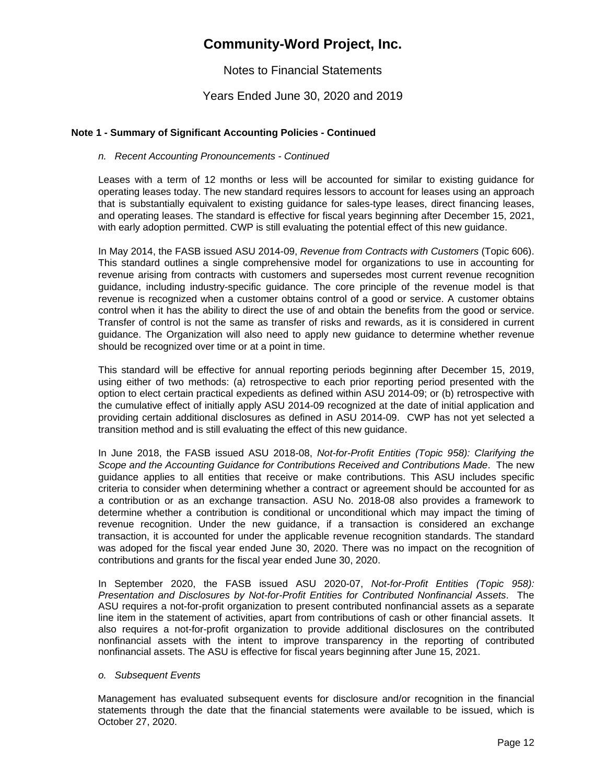Notes to Financial Statements

Years Ended June 30, 2020 and 2019

# **Note 1 - Summary of Significant Accounting Policies - Continued**

## *n. Recent Accounting Pronouncements - Continued*

Leases with a term of 12 months or less will be accounted for similar to existing guidance for operating leases today. The new standard requires lessors to account for leases using an approach that is substantially equivalent to existing guidance for sales-type leases, direct financing leases, and operating leases. The standard is effective for fiscal years beginning after December 15, 2021, with early adoption permitted. CWP is still evaluating the potential effect of this new guidance.

In May 2014, the FASB issued ASU 2014-09, *Revenue from Contracts with Customers* (Topic 606). This standard outlines a single comprehensive model for organizations to use in accounting for revenue arising from contracts with customers and supersedes most current revenue recognition guidance, including industry-specific guidance. The core principle of the revenue model is that revenue is recognized when a customer obtains control of a good or service. A customer obtains control when it has the ability to direct the use of and obtain the benefits from the good or service. Transfer of control is not the same as transfer of risks and rewards, as it is considered in current guidance. The Organization will also need to apply new guidance to determine whether revenue should be recognized over time or at a point in time.

This standard will be effective for annual reporting periods beginning after December 15, 2019, using either of two methods: (a) retrospective to each prior reporting period presented with the option to elect certain practical expedients as defined within ASU 2014-09; or (b) retrospective with the cumulative effect of initially apply ASU 2014-09 recognized at the date of initial application and providing certain additional disclosures as defined in ASU 2014-09. CWP has not yet selected a transition method and is still evaluating the effect of this new guidance.

In June 2018, the FASB issued ASU 2018-08, *Not-for-Profit Entities (Topic 958): Clarifying the Scope and the Accounting Guidance for Contributions Received and Contributions Made*. The new guidance applies to all entities that receive or make contributions. This ASU includes specific criteria to consider when determining whether a contract or agreement should be accounted for as a contribution or as an exchange transaction. ASU No. 2018-08 also provides a framework to determine whether a contribution is conditional or unconditional which may impact the timing of revenue recognition. Under the new guidance, if a transaction is considered an exchange transaction, it is accounted for under the applicable revenue recognition standards. The standard was adoped for the fiscal year ended June 30, 2020. There was no impact on the recognition of contributions and grants for the fiscal year ended June 30, 2020.

In September 2020, the FASB issued ASU 2020-07, *Not-for-Profit Entities (Topic 958): Presentation and Disclosures by Not-for-Profit Entities for Contributed Nonfinancial Assets*. The ASU requires a not-for-profit organization to present contributed nonfinancial assets as a separate line item in the statement of activities, apart from contributions of cash or other financial assets. It also requires a not-for-profit organization to provide additional disclosures on the contributed nonfinancial assets with the intent to improve transparency in the reporting of contributed nonfinancial assets. The ASU is effective for fiscal years beginning after June 15, 2021.

## *o. Subsequent Events*

Management has evaluated subsequent events for disclosure and/or recognition in the financial statements through the date that the financial statements were available to be issued, which is October 27, 2020.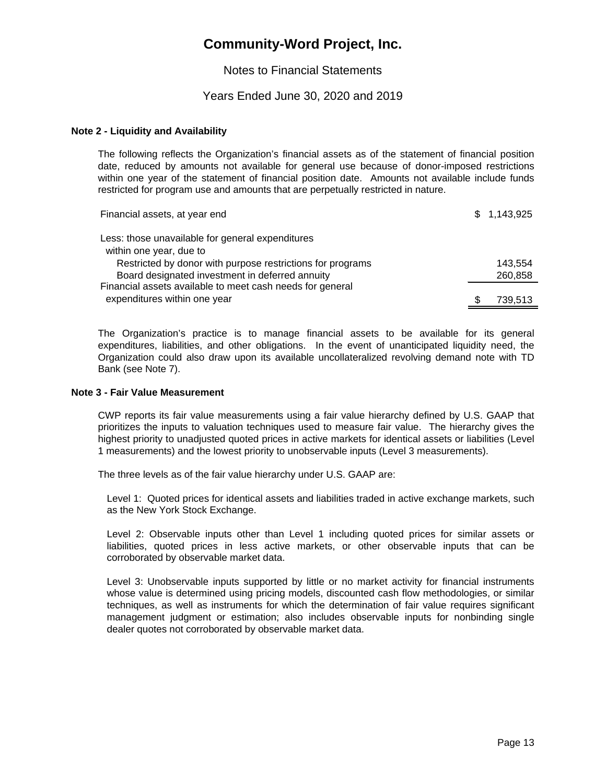Notes to Financial Statements

Years Ended June 30, 2020 and 2019

## **Note 2 - Liquidity and Availability**

The following reflects the Organization's financial assets as of the statement of financial position date, reduced by amounts not available for general use because of donor-imposed restrictions within one year of the statement of financial position date. Amounts not available include funds restricted for program use and amounts that are perpetually restricted in nature.

| Financial assets, at year end                              | \$1,143,925 |
|------------------------------------------------------------|-------------|
| Less: those unavailable for general expenditures           |             |
| within one year, due to                                    |             |
| Restricted by donor with purpose restrictions for programs | 143.554     |
| Board designated investment in deferred annuity            | 260,858     |
| Financial assets available to meet cash needs for general  |             |
| expenditures within one year                               | 739.513     |

The Organization's practice is to manage financial assets to be available for its general expenditures, liabilities, and other obligations. In the event of unanticipated liquidity need, the Organization could also draw upon its available uncollateralized revolving demand note with TD Bank (see Note 7).

#### **Note 3 - Fair Value Measurement**

CWP reports its fair value measurements using a fair value hierarchy defined by U.S. GAAP that prioritizes the inputs to valuation techniques used to measure fair value. The hierarchy gives the highest priority to unadjusted quoted prices in active markets for identical assets or liabilities (Level 1 measurements) and the lowest priority to unobservable inputs (Level 3 measurements).

The three levels as of the fair value hierarchy under U.S. GAAP are:

Level 1: Quoted prices for identical assets and liabilities traded in active exchange markets, such as the New York Stock Exchange.

Level 2: Observable inputs other than Level 1 including quoted prices for similar assets or liabilities, quoted prices in less active markets, or other observable inputs that can be corroborated by observable market data.

Level 3: Unobservable inputs supported by little or no market activity for financial instruments whose value is determined using pricing models, discounted cash flow methodologies, or similar techniques, as well as instruments for which the determination of fair value requires significant management judgment or estimation; also includes observable inputs for nonbinding single dealer quotes not corroborated by observable market data.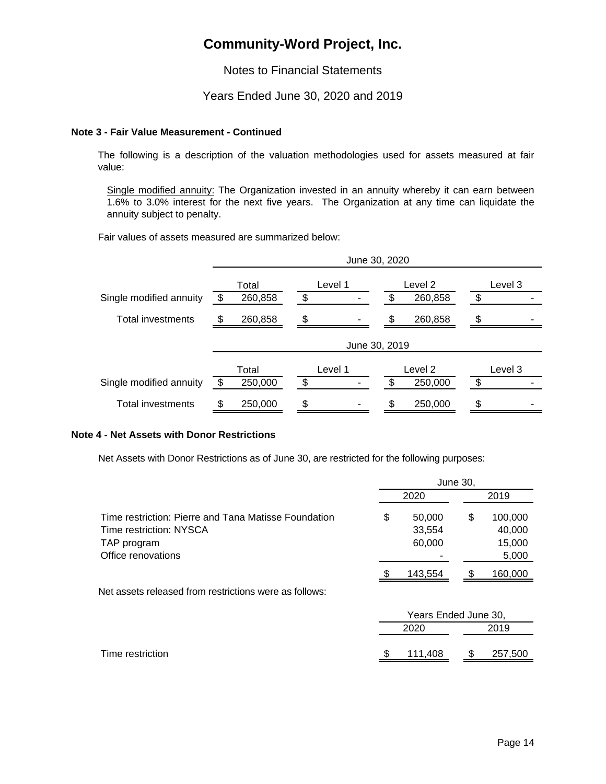Notes to Financial Statements

Years Ended June 30, 2020 and 2019

# **Note 3 - Fair Value Measurement - Continued**

The following is a description of the valuation methodologies used for assets measured at fair value:

Single modified annuity: The Organization invested in an annuity whereby it can earn between 1.6% to 3.0% interest for the next five years. The Organization at any time can liquidate the annuity subject to penalty.

Fair values of assets measured are summarized below:

|                          | June 30, 2020 |               |    |         |    |         |     |         |
|--------------------------|---------------|---------------|----|---------|----|---------|-----|---------|
|                          |               | Total         |    | Level 1 |    | Level 2 |     | Level 3 |
| Single modified annuity  | \$            | 260,858       |    |         |    | 260,858 | \$. |         |
| <b>Total investments</b> | \$            | 260,858       |    |         |    | 260,858 |     |         |
|                          |               | June 30, 2019 |    |         |    |         |     |         |
|                          |               | Total         |    | Level 1 |    | Level 2 |     | Level 3 |
| Single modified annuity  | \$            | 250,000       | £. |         |    | 250,000 | \$  |         |
| <b>Total investments</b> |               | 250,000       | \$ |         | \$ | 250,000 |     |         |

### **Note 4 - Net Assets with Donor Restrictions**

Net Assets with Donor Restrictions as of June 30, are restricted for the following purposes:

|                                                      | June 30, |         |   |         |  |  |
|------------------------------------------------------|----------|---------|---|---------|--|--|
|                                                      | 2020     |         |   |         |  |  |
| Time restriction: Pierre and Tana Matisse Foundation |          | 50,000  | S | 100,000 |  |  |
| Time restriction: NYSCA                              |          | 33,554  |   | 40,000  |  |  |
| TAP program                                          |          | 60,000  |   | 15,000  |  |  |
| Office renovations                                   |          |         |   | 5,000   |  |  |
|                                                      |          | 143,554 |   | 160,000 |  |  |

Net assets released from restrictions were as follows:

|                  | Years Ended June 30, |      |         |
|------------------|----------------------|------|---------|
|                  | 2020                 | 2019 |         |
| Time restriction | 111.408              | S    | 257,500 |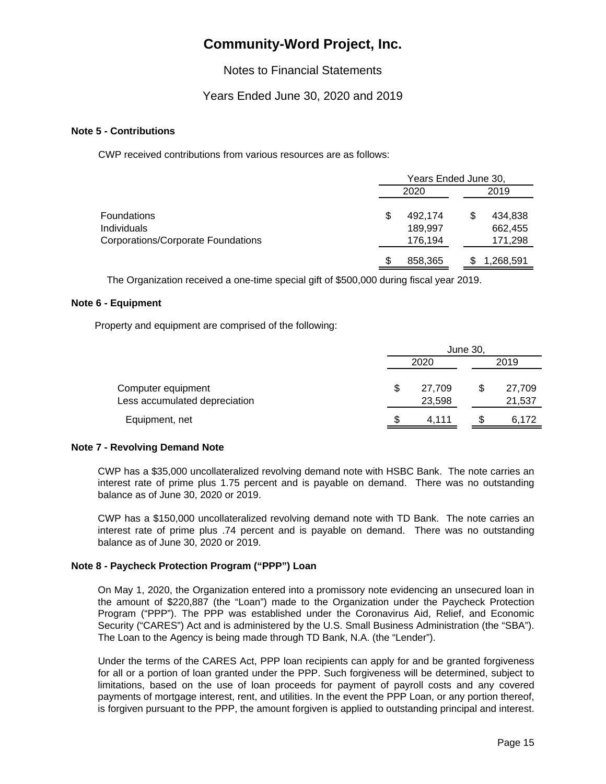Notes to Financial Statements

# Years Ended June 30, 2020 and 2019

# **Note 5 - Contributions**

CWP received contributions from various resources are as follows:

|                                    |   | Years Ended June 30, |      |           |  |
|------------------------------------|---|----------------------|------|-----------|--|
|                                    |   |                      | 2019 |           |  |
| Foundations                        | S | 492.174              | \$   | 434,838   |  |
| Individuals                        |   | 189.997              |      | 662,455   |  |
| Corporations/Corporate Foundations |   | 176,194              |      | 171,298   |  |
|                                    | S | 858,365              |      | 1,268,591 |  |

The Organization received a one-time special gift of \$500,000 during fiscal year 2019.

# **Note 6 - Equipment**

Property and equipment are comprised of the following:

|                                                     |      | June 30,         |      |                  |
|-----------------------------------------------------|------|------------------|------|------------------|
|                                                     | 2020 |                  | 2019 |                  |
| Computer equipment<br>Less accumulated depreciation | S    | 27,709<br>23,598 | S    | 27,709<br>21,537 |
| Equipment, net                                      |      | 4.111            |      | 6,172            |

### **Note 7 - Revolving Demand Note**

CWP has a \$35,000 uncollateralized revolving demand note with HSBC Bank. The note carries an interest rate of prime plus 1.75 percent and is payable on demand. There was no outstanding balance as of June 30, 2020 or 2019.

CWP has a \$150,000 uncollateralized revolving demand note with TD Bank. The note carries an interest rate of prime plus .74 percent and is payable on demand. There was no outstanding balance as of June 30, 2020 or 2019.

# **Note 8 - Paycheck Protection Program ("PPP") Loan**

On May 1, 2020, the Organization entered into a promissory note evidencing an unsecured loan in the amount of \$220,887 (the "Loan") made to the Organization under the Paycheck Protection Program ("PPP"). The PPP was established under the Coronavirus Aid, Relief, and Economic Security ("CARES") Act and is administered by the U.S. Small Business Administration (the "SBA"). The Loan to the Agency is being made through TD Bank, N.A. (the "Lender").

Under the terms of the CARES Act, PPP loan recipients can apply for and be granted forgiveness for all or a portion of loan granted under the PPP. Such forgiveness will be determined, subject to limitations, based on the use of loan proceeds for payment of payroll costs and any covered payments of mortgage interest, rent, and utilities. In the event the PPP Loan, or any portion thereof, is forgiven pursuant to the PPP, the amount forgiven is applied to outstanding principal and interest.